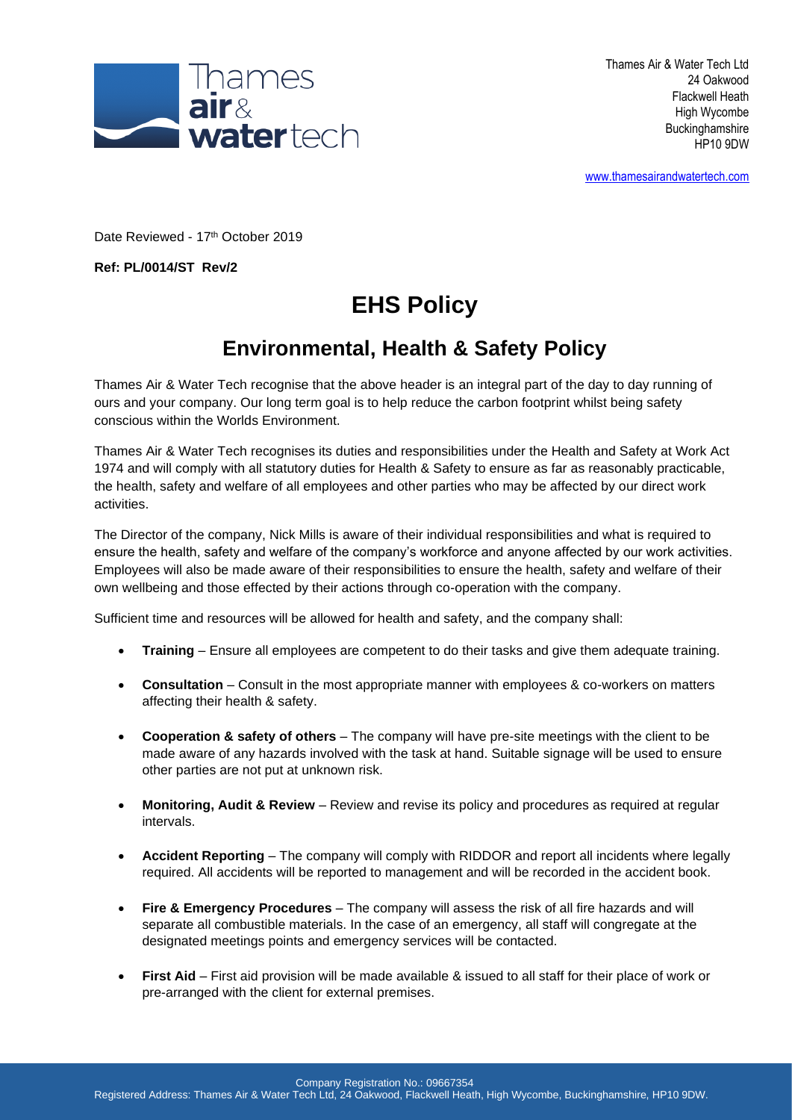

[www.thamesairandwatertech.com](http://www.thamesairandwatertech.com/)

Date Reviewed - 17th October 2019

**Ref: PL/0014/ST Rev/2**

## **EHS Policy**

## **Environmental, Health & Safety Policy**

Thames Air & Water Tech recognise that the above header is an integral part of the day to day running of ours and your company. Our long term goal is to help reduce the carbon footprint whilst being safety conscious within the Worlds Environment.

Thames Air & Water Tech recognises its duties and responsibilities under the Health and Safety at Work Act 1974 and will comply with all statutory duties for Health & Safety to ensure as far as reasonably practicable, the health, safety and welfare of all employees and other parties who may be affected by our direct work activities.

The Director of the company, Nick Mills is aware of their individual responsibilities and what is required to ensure the health, safety and welfare of the company's workforce and anyone affected by our work activities. Employees will also be made aware of their responsibilities to ensure the health, safety and welfare of their own wellbeing and those effected by their actions through co-operation with the company.

Sufficient time and resources will be allowed for health and safety, and the company shall:

- **Training** Ensure all employees are competent to do their tasks and give them adequate training.
- **Consultation** Consult in the most appropriate manner with employees & co-workers on matters affecting their health & safety.
- **Cooperation & safety of others** The company will have pre-site meetings with the client to be made aware of any hazards involved with the task at hand. Suitable signage will be used to ensure other parties are not put at unknown risk.
- **Monitoring, Audit & Review**  Review and revise its policy and procedures as required at regular intervals.
- **Accident Reporting** The company will comply with RIDDOR and report all incidents where legally required. All accidents will be reported to management and will be recorded in the accident book.
- **Fire & Emergency Procedures** The company will assess the risk of all fire hazards and will separate all combustible materials. In the case of an emergency, all staff will congregate at the designated meetings points and emergency services will be contacted.
- **First Aid** First aid provision will be made available & issued to all staff for their place of work or pre-arranged with the client for external premises.